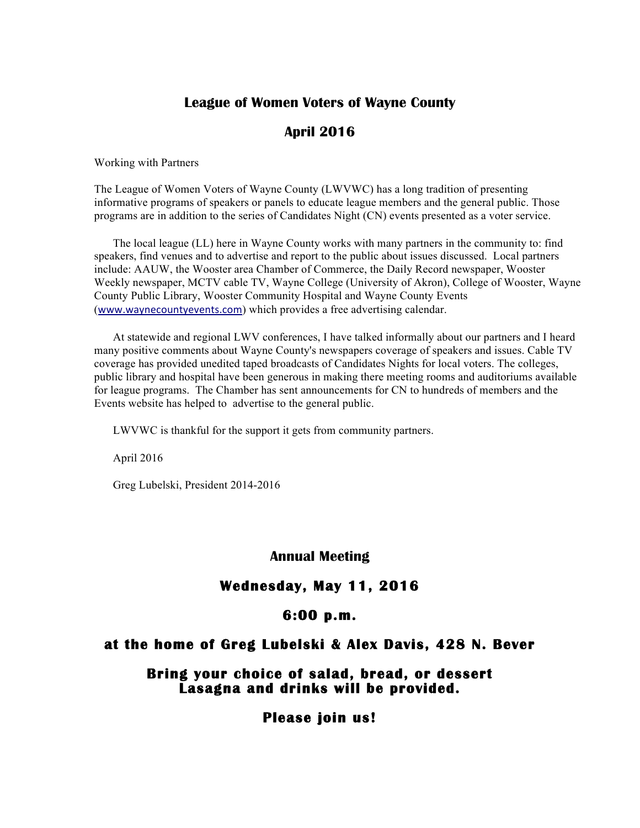### **League of Women Voters of Wayne County**

# **April 2016**

Working with Partners

The League of Women Voters of Wayne County (LWVWC) has a long tradition of presenting informative programs of speakers or panels to educate league members and the general public. Those programs are in addition to the series of Candidates Night (CN) events presented as a voter service.

The local league (LL) here in Wayne County works with many partners in the community to: find speakers, find venues and to advertise and report to the public about issues discussed. Local partners include: AAUW, the Wooster area Chamber of Commerce, the Daily Record newspaper, Wooster Weekly newspaper, MCTV cable TV, Wayne College (University of Akron), College of Wooster, Wayne County Public Library, Wooster Community Hospital and Wayne County Events (www.waynecountyevents.com) which provides a free advertising calendar.

At statewide and regional LWV conferences, I have talked informally about our partners and I heard many positive comments about Wayne County's newspapers coverage of speakers and issues. Cable TV coverage has provided unedited taped broadcasts of Candidates Nights for local voters. The colleges, public library and hospital have been generous in making there meeting rooms and auditoriums available for league programs. The Chamber has sent announcements for CN to hundreds of members and the Events website has helped to advertise to the general public.

LWVWC is thankful for the support it gets from community partners.

April 2016

Greg Lubelski, President 2014-2016

#### **Annual Meeting**

#### **Wednesday, May 11, 2016**

#### **6:00 p.m.**

#### **at the home of Greg Lubelski & Alex Davis, 428 N. Bever**

### **Bring your choice of salad, bread, or dessert Lasagna and drinks will be provided.**

 **Please join us!**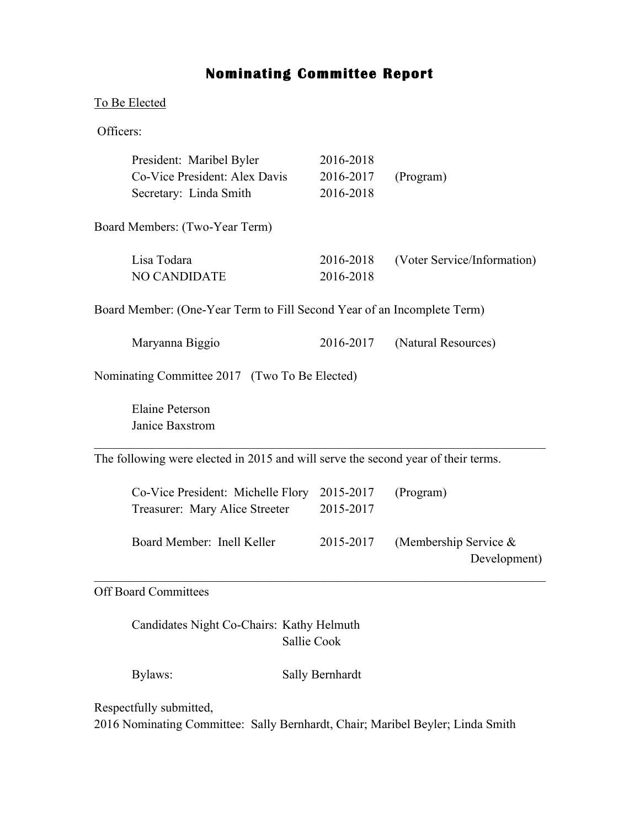# **Nominating Committee Report**

## To Be Elected

Officers:

| President: Maribel Byler                                                          | 2016-2018 |                                          |  |  |
|-----------------------------------------------------------------------------------|-----------|------------------------------------------|--|--|
| Co-Vice President: Alex Davis                                                     | 2016-2017 | (Program)                                |  |  |
| Secretary: Linda Smith                                                            | 2016-2018 |                                          |  |  |
| Board Members: (Two-Year Term)                                                    |           |                                          |  |  |
| Lisa Todara                                                                       | 2016-2018 | (Voter Service/Information)              |  |  |
| <b>NO CANDIDATE</b>                                                               | 2016-2018 |                                          |  |  |
|                                                                                   |           |                                          |  |  |
| Board Member: (One-Year Term to Fill Second Year of an Incomplete Term)           |           |                                          |  |  |
| Maryanna Biggio                                                                   | 2016-2017 | (Natural Resources)                      |  |  |
| Nominating Committee 2017 (Two To Be Elected)                                     |           |                                          |  |  |
| <b>Elaine Peterson</b>                                                            |           |                                          |  |  |
| Janice Baxstrom                                                                   |           |                                          |  |  |
| The following were elected in 2015 and will serve the second year of their terms. |           |                                          |  |  |
| Co-Vice President: Michelle Flory                                                 | 2015-2017 | (Program)                                |  |  |
| Treasurer: Mary Alice Streeter                                                    | 2015-2017 |                                          |  |  |
| Board Member: Inell Keller                                                        | 2015-2017 | (Membership Service $\&$<br>Development) |  |  |
| <b>Off Board Committees</b>                                                       |           |                                          |  |  |

Candidates Night Co-Chairs: Kathy Helmuth Sallie Cook

Bylaws: Sally Bernhardt

Respectfully submitted,

2016 Nominating Committee: Sally Bernhardt, Chair; Maribel Beyler; Linda Smith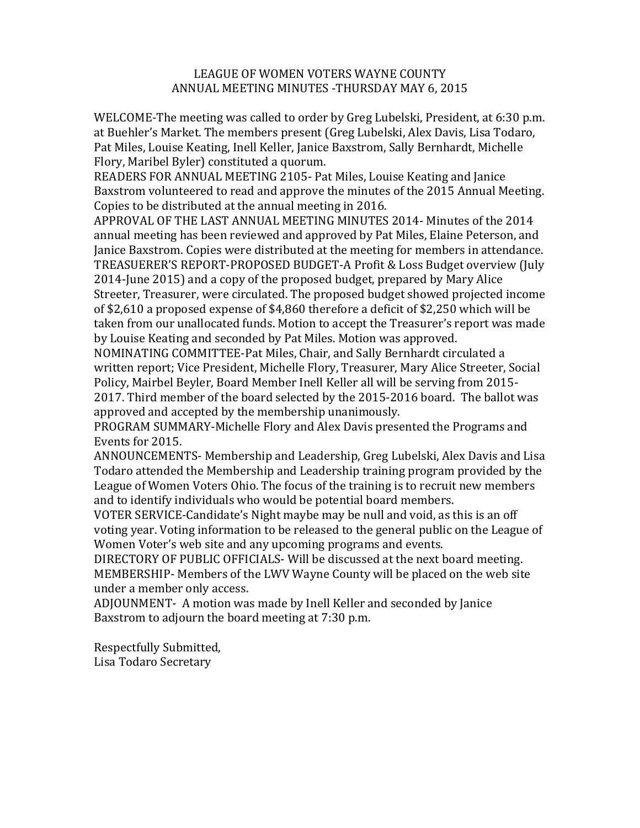#### LEAGUE OF WOMEN VOTERS WAYNE COUNTY ANNUAL MEETING MINUTES - THURSDAY MAY 6, 2015

WELCOME-The meeting was called to order by Greg Lubelski, President, at 6:30 p.m. at Buehler's Market. The members present (Greg Lubelski, Alex Davis, Lisa Todaro, Pat Miles, Louise Keating, Inell Keller, Janice Baxstrom, Sally Bernhardt, Michelle Flory, Maribel Byler) constituted a quorum.

READERS FOR ANNUAL MEETING 2105- Pat Miles, Louise Keating and Janice Baxstrom volunteered to read and approve the minutes of the 2015 Annual Meeting. Copies to be distributed at the annual meeting in 2016.

APPROVAL OF THE LAST ANNUAL MEETING MINUTES 2014- Minutes of the 2014 annual meeting has been reviewed and approved by Pat Miles, Elaine Peterson, and Janice Baxstrom. Copies were distributed at the meeting for members in attendance. TREASUERER'S REPORT-PROPOSED BUDGET-A Profit & Loss Budget overview (July 2014-June 2015) and a copy of the proposed budget, prepared by Mary Alice Streeter, Treasurer, were circulated. The proposed budget showed projected income of \$2,610 a proposed expense of \$4,860 therefore a deficit of \$2,250 which will be taken from our unallocated funds. Motion to accept the Treasurer's report was made by Louise Keating and seconded by Pat Miles. Motion was approved.

NOMINATING COMMITTEE-Pat Miles, Chair, and Sally Bernhardt circulated a written report; Vice President, Michelle Flory, Treasurer, Mary Alice Streeter, Social Policy, Mairbel Beyler, Board Member Inell Keller all will be serving from 2015-2017. Third member of the board selected by the 2015-2016 board. The ballot was approved and accepted by the membership unanimously.

PROGRAM SUMMARY-Michelle Flory and Alex Davis presented the Programs and Events for 2015.

ANNOUNCEMENTS- Membership and Leadership, Greg Lubelski, Alex Davis and Lisa Todaro attended the Membership and Leadership training program provided by the League of Women Voters Ohio. The focus of the training is to recruit new members and to identify individuals who would be potential board members.

VOTER SERVICE-Candidate's Night maybe may be null and void, as this is an off voting year. Voting information to be released to the general public on the League of Women Voter's web site and any upcoming programs and events.

DIRECTORY OF PUBLIC OFFICIALS- Will be discussed at the next board meeting. MEMBERSHIP- Members of the LWV Wayne County will be placed on the web site under a member only access.

ADJOUNMENT- A motion was made by Inell Keller and seconded by Janice Baxstrom to adjourn the board meeting at 7:30 p.m.

Respectfully Submitted, Lisa Todaro Secretary